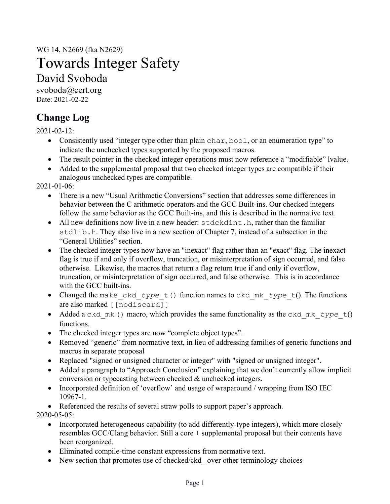WG 14, N2669 (fka N2629)

# Towards Integer Safety

David Svoboda

svoboda@cert.org Date: 2021-02-22

## **Change Log**

2021-02-12:

- Consistently used "integer type other than plain char, bool, or an enumeration type" to indicate the unchecked types supported by the proposed macros.
- The result pointer in the checked integer operations must now reference a "modifiable" lvalue.
- Added to the supplemental proposal that two checked integer types are compatible if their analogous unchecked types are compatible.

2021-01-06:

- There is a new "Usual Arithmetic Conversions" section that addresses some differences in behavior between the C arithmetic operators and the GCC Built-ins. Our checked integers follow the same behavior as the GCC Built-ins, and this is described in the normative text.
- All new definitions now live in a new header: stdckdint.h, rather than the familiar stdlib.h. They also live in a new section of Chapter 7, instead of a subsection in the "General Utilities" section.
- The checked integer types now have an "inexact" flag rather than an "exact" flag. The inexact flag is true if and only if overflow, truncation, or misinterpretation of sign occurred, and false otherwise. Likewise, the macros that return a flag return true if and only if overflow, truncation, or misinterpretation of sign occurred, and false otherwise. This is in accordance with the GCC built-ins.
- Changed the make\_ckd\_*type*\_t() function names to ckd\_mk\_*type*\_t(). The functions are also marked [[nodiscard]]
- Added a ckd\_mk () macro, which provides the same functionality as the ckd\_mk\_type t() functions.
- The checked integer types are now "complete object types".
- Removed "generic" from normative text, in lieu of addressing families of generic functions and macros in separate proposal
- Replaced "signed or unsigned character or integer" with "signed or unsigned integer".
- Added a paragraph to "Approach Conclusion" explaining that we don't currently allow implicit conversion or typecasting between checked & unchecked integers.
- Incorporated definition of 'overflow' and usage of wraparound / wrapping from ISO IEC 10967-1.
- Referenced the results of several straw polls to support paper's approach.

2020-05-05:

- Incorporated heterogeneous capability (to add differently-type integers), which more closely resembles GCC/Clang behavior. Still a core + supplemental proposal but their contents have been reorganized.
- Eliminated compile-time constant expressions from normative text.
- New section that promotes use of checked/ckd over other terminology choices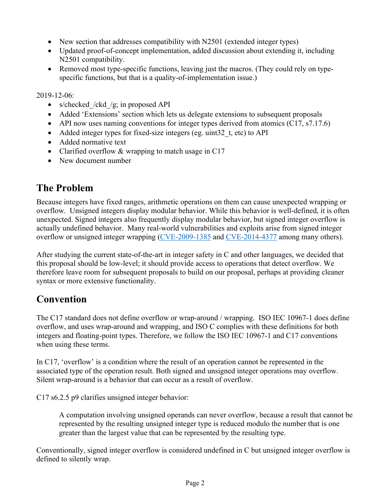- New section that addresses compatibility with N2501 (extended integer types)
- Updated proof-of-concept implementation, added discussion about extending it, including N2501 compatibility.
- Removed most type-specific functions, leaving just the macros. (They could rely on typespecific functions, but that is a quality-of-implementation issue.)

2019-12-06:

- s/checked /ckd /g; in proposed API
- Added 'Extensions' section which lets us delegate extensions to subsequent proposals
- API now uses naming conventions for integer types derived from atomics  $(C17, s7.17.6)$
- Added integer types for fixed-size integers (eg. uint32 t, etc) to API
- Added normative text
- Clarified overflow & wrapping to match usage in C17
- New document number

## **The Problem**

Because integers have fixed ranges, arithmetic operations on them can cause unexpected wrapping or overflow. Unsigned integers display modular behavior. While this behavior is well-defined, it is often unexpected. Signed integers also frequently display modular behavior, but signed integer overflow is actually undefined behavior. Many real-world vulnerabilities and exploits arise from signed integer overflow or unsigned integer wrapping (CVE-2009-1385 and CVE-2014-4377 among many others).

After studying the current state-of-the-art in integer safety in C and other languages, we decided that this proposal should be low-level; it should provide access to operations that detect overflow. We therefore leave room for subsequent proposals to build on our proposal, perhaps at providing cleaner syntax or more extensive functionality.

### **Convention**

The C17 standard does not define overflow or wrap-around / wrapping. ISO IEC 10967-1 does define overflow, and uses wrap-around and wrapping, and ISO C complies with these definitions for both integers and floating-point types. Therefore, we follow the ISO IEC 10967-1 and C17 conventions when using these terms.

In C17, 'overflow' is a condition where the result of an operation cannot be represented in the associated type of the operation result. Both signed and unsigned integer operations may overflow. Silent wrap-around is a behavior that can occur as a result of overflow.

C17 s6.2.5 p9 clarifies unsigned integer behavior:

A computation involving unsigned operands can never overflow, because a result that cannot be represented by the resulting unsigned integer type is reduced modulo the number that is one greater than the largest value that can be represented by the resulting type.

Conventionally, signed integer overflow is considered undefined in C but unsigned integer overflow is defined to silently wrap.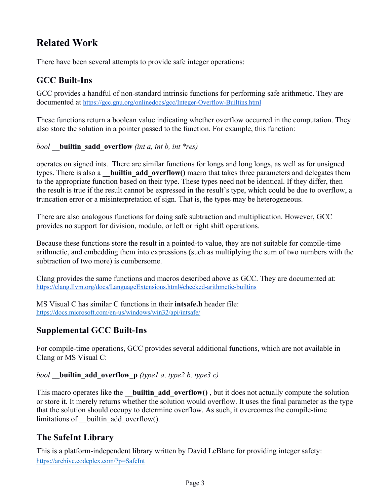## **Related Work**

There have been several attempts to provide safe integer operations:

### **GCC Built-Ins**

GCC provides a handful of non-standard intrinsic functions for performing safe arithmetic. They are documented at https://gcc.gnu.org/onlinedocs/gcc/Integer-Overflow-Builtins.html

These functions return a boolean value indicating whether overflow occurred in the computation. They also store the solution in a pointer passed to the function. For example, this function:

*bool* **\_\_builtin\_sadd\_overflow** *(int a, int b, int \*res)*

operates on signed ints. There are similar functions for longs and long longs, as well as for unsigned types. There is also a **builtin add overflow()** macro that takes three parameters and delegates them to the appropriate function based on their type. These types need not be identical. If they differ, then the result is true if the result cannot be expressed in the result's type, which could be due to overflow, a truncation error or a misinterpretation of sign. That is, the types may be heterogeneous.

There are also analogous functions for doing safe subtraction and multiplication. However, GCC provides no support for division, modulo, or left or right shift operations.

Because these functions store the result in a pointed-to value, they are not suitable for compile-time arithmetic, and embedding them into expressions (such as multiplying the sum of two numbers with the subtraction of two more) is cumbersome.

Clang provides the same functions and macros described above as GCC. They are documented at: https://clang.llvm.org/docs/LanguageExtensions.html#checked-arithmetic-builtins

MS Visual C has similar C functions in their **intsafe.h** header file: https://docs.microsoft.com/en-us/windows/win32/api/intsafe/

### **Supplemental GCC Built-Ins**

For compile-time operations, GCC provides several additional functions, which are not available in Clang or MS Visual C:

#### *bool* **builtin add overflow p** *(type1 a, type2 b, type3 c)*

This macro operates like the **builtin add overflow()**, but it does not actually compute the solution or store it. It merely returns whether the solution would overflow. It uses the final parameter as the type that the solution should occupy to determine overflow. As such, it overcomes the compile-time limitations of \_\_builtin\_add\_overflow().

### **The SafeInt Library**

This is a platform-independent library written by David LeBlanc for providing integer safety: https://archive.codeplex.com/?p=SafeInt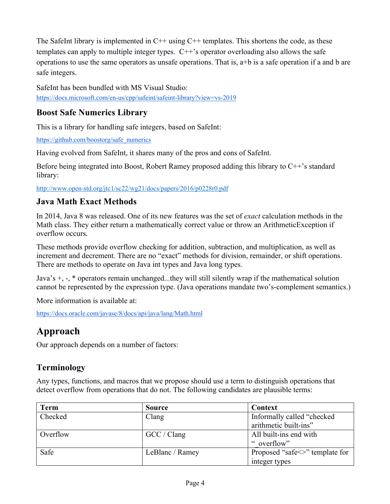The SafeInt library is implemented in  $C++$  using  $C++$  templates. This shortens the code, as these templates can apply to multiple integer types.  $C++$ 's operator overloading also allows the safe operations to use the same operators as unsafe operations. That is,  $a+b$  is a safe operation if a and b are safe integers.

SafeInt has been bundled with MS Visual Studio: https://docs.microsoft.com/en-us/cpp/safeint/safeint-library?view=vs-2019

#### **Boost Safe Numerics Library**

This is a library for handling safe integers, based on SafeInt:

https://github.com/boostorg/safe\_numerics

Having evolved from SafeInt, it shares many of the pros and cons of SafeInt.

Before being integrated into Boost, Robert Ramey proposed adding this library to C++'s standard library:

http://www.open-std.org/jtc1/sc22/wg21/docs/papers/2016/p0228r0.pdf

#### **Java Math Exact Methods**

In 2014, Java 8 was released. One of its new features was the set of *exact* calculation methods in the Math class. They either return a mathematically correct value or throw an ArithmeticException if overflow occurs.

These methods provide overflow checking for addition, subtraction, and multiplication, as well as increment and decrement. There are no "exact" methods for division, remainder, or shift operations. There are methods to operate on Java int types and Java long types.

Java's +, -, \* operators remain unchanged...they will still silently wrap if the mathematical solution cannot be represented by the expression type. (Java operations mandate two's-complement semantics.)

More information is available at:

https://docs.oracle.com/javase/8/docs/api/java/lang/Math.html

## **Approach**

Our approach depends on a number of factors:

### **Terminology**

Any types, functions, and macros that we propose should use a term to distinguish operations that detect overflow from operations that do not. The following candidates are plausible terms:

| <b>Term</b> | <b>Source</b>   | <b>Context</b>                    |
|-------------|-----------------|-----------------------------------|
| Checked     | Clang           | Informally called "checked"       |
|             |                 | arithmetic built-ins"             |
| Overflow    | GCC / Clang     | All built-ins end with            |
|             |                 | " overflow"                       |
| Safe        | LeBlanc / Ramey | Proposed "safe <> "> template for |
|             |                 | integer types                     |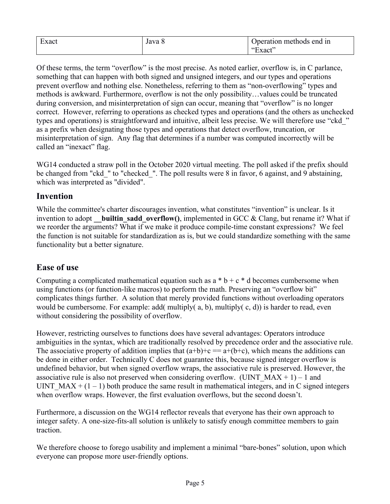| $\overline{\phantom{0}}$<br>Exact | ∪ Java U | Doeration methods end in |
|-----------------------------------|----------|--------------------------|
|                                   |          | ⊥xact''<br>              |

Of these terms, the term "overflow" is the most precise. As noted earlier, overflow is, in C parlance, something that can happen with both signed and unsigned integers, and our types and operations prevent overflow and nothing else. Nonetheless, referring to them as "non-overflowing" types and methods is awkward. Furthermore, overflow is not the only possibility…values could be truncated during conversion, and misinterpretation of sign can occur, meaning that "overflow" is no longer correct. However, referring to operations as checked types and operations (and the others as unchecked types and operations) is straightforward and intuitive, albeit less precise. We will therefore use "ckd\_" as a prefix when designating those types and operations that detect overflow, truncation, or misinterpretation of sign. Any flag that determines if a number was computed incorrectly will be called an "inexact" flag.

WG14 conducted a straw poll in the October 2020 virtual meeting. The poll asked if the prefix should be changed from "ckd" to "checked". The poll results were 8 in favor, 6 against, and 9 abstaining, which was interpreted as "divided".

#### **Invention**

While the committee's charter discourages invention, what constitutes "invention" is unclear. Is it invention to adopt **builtin sadd overflow()**, implemented in GCC & Clang, but rename it? What if we reorder the arguments? What if we make it produce compile-time constant expressions? We feel the function is not suitable for standardization as is, but we could standardize something with the same functionality but a better signature.

### **Ease of use**

Computing a complicated mathematical equation such as  $a * b + c * d$  becomes cumbersome when using functions (or function-like macros) to perform the math. Preserving an "overflow bit" complicates things further. A solution that merely provided functions without overloading operators would be cumbersome. For example: add( multiply(  $a, b$ ), multiply(  $c, d$ )) is harder to read, even without considering the possibility of overflow.

However, restricting ourselves to functions does have several advantages: Operators introduce ambiguities in the syntax, which are traditionally resolved by precedence order and the associative rule. The associative property of addition implies that  $(a+b)+c == a+(b+c)$ , which means the additions can be done in either order. Technically C does not guarantee this, because signed integer overflow is undefined behavior, but when signed overflow wraps, the associative rule is preserved. However, the associative rule is also not preserved when considering overflow. (UINT\_MAX + 1) – 1 and UINT  $MAX + (1 - 1)$  both produce the same result in mathematical integers, and in C signed integers when overflow wraps. However, the first evaluation overflows, but the second doesn't.

Furthermore, a discussion on the WG14 reflector reveals that everyone has their own approach to integer safety. A one-size-fits-all solution is unlikely to satisfy enough committee members to gain traction.

We therefore choose to forego usability and implement a minimal "bare-bones" solution, upon which everyone can propose more user-friendly options.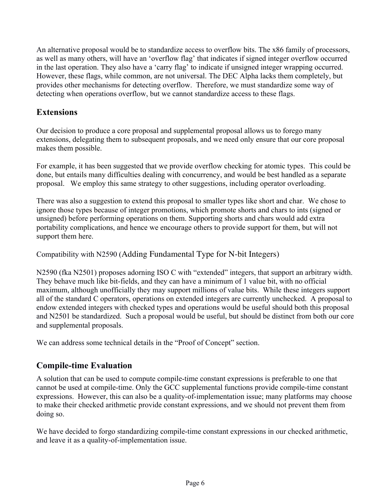An alternative proposal would be to standardize access to overflow bits. The x86 family of processors, as well as many others, will have an 'overflow flag' that indicates if signed integer overflow occurred in the last operation. They also have a 'carry flag' to indicate if unsigned integer wrapping occurred. However, these flags, while common, are not universal. The DEC Alpha lacks them completely, but provides other mechanisms for detecting overflow. Therefore, we must standardize some way of detecting when operations overflow, but we cannot standardize access to these flags.

#### **Extensions**

Our decision to produce a core proposal and supplemental proposal allows us to forego many extensions, delegating them to subsequent proposals, and we need only ensure that our core proposal makes them possible.

For example, it has been suggested that we provide overflow checking for atomic types. This could be done, but entails many difficulties dealing with concurrency, and would be best handled as a separate proposal. We employ this same strategy to other suggestions, including operator overloading.

There was also a suggestion to extend this proposal to smaller types like short and char. We chose to ignore those types because of integer promotions, which promote shorts and chars to ints (signed or unsigned) before performing operations on them. Supporting shorts and chars would add extra portability complications, and hence we encourage others to provide support for them, but will not support them here.

Compatibility with N2590 (Adding Fundamental Type for N-bit Integers)

N2590 (fka N2501) proposes adorning ISO C with "extended" integers, that support an arbitrary width. They behave much like bit-fields, and they can have a minimum of 1 value bit, with no official maximum, although unofficially they may support millions of value bits. While these integers support all of the standard C operators, operations on extended integers are currently unchecked. A proposal to endow extended integers with checked types and operations would be useful should both this proposal and N2501 be standardized. Such a proposal would be useful, but should be distinct from both our core and supplemental proposals.

We can address some technical details in the "Proof of Concept" section.

### **Compile-time Evaluation**

A solution that can be used to compute compile-time constant expressions is preferable to one that cannot be used at compile-time. Only the GCC supplemental functions provide compile-time constant expressions. However, this can also be a quality-of-implementation issue; many platforms may choose to make their checked arithmetic provide constant expressions, and we should not prevent them from doing so.

We have decided to forgo standardizing compile-time constant expressions in our checked arithmetic, and leave it as a quality-of-implementation issue.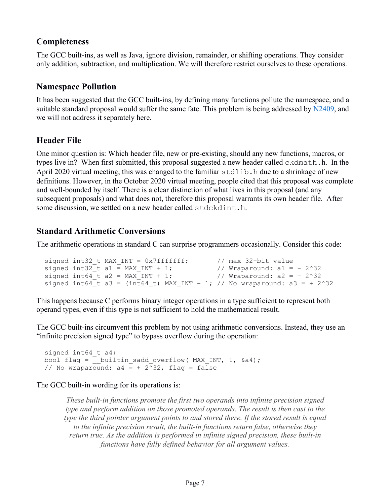#### **Completeness**

The GCC built-ins, as well as Java, ignore division, remainder, or shifting operations. They consider only addition, subtraction, and multiplication. We will therefore restrict ourselves to these operations.

### **Namespace Pollution**

It has been suggested that the GCC built-ins, by defining many functions pollute the namespace, and a suitable standard proposal would suffer the same fate. This problem is being addressed by N2409, and we will not address it separately here.

#### **Header File**

One minor question is: Which header file, new or pre-existing, should any new functions, macros, or types live in? When first submitted, this proposal suggested a new header called ckdmath.h. In the April 2020 virtual meeting, this was changed to the familiar  $\text{stdlib}$ . h due to a shrinkage of new definitions. However, in the October 2020 virtual meeting, people cited that this proposal was complete and well-bounded by itself. There is a clear distinction of what lives in this proposal (and any subsequent proposals) and what does not, therefore this proposal warrants its own header file. After some discussion, we settled on a new header called stdckdint.h.

### **Standard Arithmetic Conversions**

The arithmetic operations in standard C can surprise programmers occasionally. Consider this code:

```
signed int32_t MAX_INT = 0x7fffffff; // max 32-bit value
signed int32_t a1 = MAX_INT + 1; \prime // Wraparound: a1 = - 2^32
signed int64_t a2 = MAX_INT + 1; \prime // Wraparound: a2 = - 2^32
 signed int64<sup>-</sup>t a3 = (int64 t) MAX INT + 1; // No wraparound: a3 = + 2^32
```
This happens because C performs binary integer operations in a type sufficient to represent both operand types, even if this type is not sufficient to hold the mathematical result.

The GCC built-ins circumvent this problem by not using arithmetic conversions. Instead, they use an "infinite precision signed type" to bypass overflow during the operation:

```
signed int64 t a4;
bool flag = __ builtin_sadd_overflow( MAX_INT, 1, &a4);
// No wraparound: a4 = + 2^{\overline{2}}32, flag = false
```
The GCC built-in wording for its operations is:

*These built-in functions promote the first two operands into infinite precision signed type and perform addition on those promoted operands. The result is then cast to the type the third pointer argument points to and stored there. If the stored result is equal to the infinite precision result, the built-in functions return false, otherwise they return true. As the addition is performed in infinite signed precision, these built-in functions have fully defined behavior for all argument values.*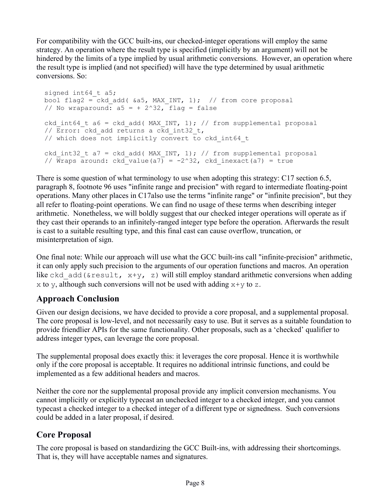For compatibility with the GCC built-ins, our checked-integer operations will employ the same strategy. An operation where the result type is specified (implicitly by an argument) will not be hindered by the limits of a type implied by usual arithmetic conversions. However, an operation where the result type is implied (and not specified) will have the type determined by usual arithmetic conversions. So:

```
signed int64 t a5;
bool flag2 = ckd add( \&a5, MAX INT, 1); // from core proposal
// No wraparound: a5 = +2^32, flag = false
ckd int64 t a6 = ckd add( MAX INT, 1); // from supplemental proposal
// \overline{E}rror:\overline{C}ckd add returns a ckd int32 t,
 // which does not implicitly convert to ckd_int64_t
ckd int32 t a7 = ckd add( MAX INT, 1); // from supplemental proposal
// \overline{W}raps around: ckd value(a7) = -2^32, ckd inexact(a7) = true
```
There is some question of what terminology to use when adopting this strategy: C17 section 6.5, paragraph 8, footnote 96 uses "infinite range and precision" with regard to intermediate floating-point operations. Many other places in C17also use the terms "infinite range" or "infinite precision", but they all refer to floating-point operations. We can find no usage of these terms when describing integer arithmetic. Nonetheless, we will boldly suggest that our checked integer operations will operate as if they cast their operands to an infinitely-ranged integer type before the operation. Afterwards the result is cast to a suitable resulting type, and this final cast can cause overflow, truncation, or misinterpretation of sign.

One final note: While our approach will use what the GCC built-ins call "infinite-precision" arithmetic, it can only apply such precision to the arguments of our operation functions and macros. An operation like ckd add( $\epsilon$ result, x+y, z) will still employ standard arithmetic conversions when adding x to y, although such conversions will not be used with adding  $x+y$  to z.

### **Approach Conclusion**

Given our design decisions, we have decided to provide a core proposal, and a supplemental proposal. The core proposal is low-level, and not necessarily easy to use. But it serves as a suitable foundation to provide friendlier APIs for the same functionality. Other proposals, such as a 'checked' qualifier to address integer types, can leverage the core proposal.

The supplemental proposal does exactly this: it leverages the core proposal. Hence it is worthwhile only if the core proposal is acceptable. It requires no additional intrinsic functions, and could be implemented as a few additional headers and macros.

Neither the core nor the supplemental proposal provide any implicit conversion mechanisms. You cannot implicitly or explicitly typecast an unchecked integer to a checked integer, and you cannot typecast a checked integer to a checked integer of a different type or signedness. Such conversions could be added in a later proposal, if desired.

### **Core Proposal**

The core proposal is based on standardizing the GCC Built-ins, with addressing their shortcomings. That is, they will have acceptable names and signatures.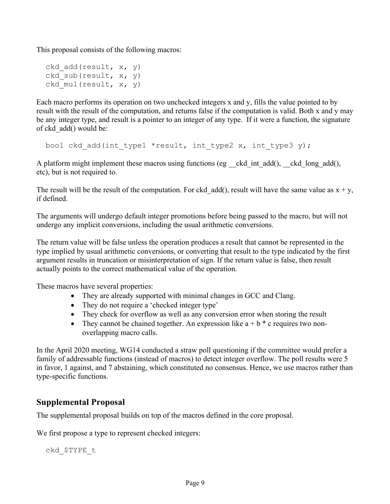This proposal consists of the following macros:

```
 ckd_add(result, x, y)
ckd sub(result, x, y)
ckd mul(result, x, y)
```
Each macro performs its operation on two unchecked integers x and y, fills the value pointed to by result with the result of the computation, and returns false if the computation is valid. Both x and y may be any integer type, and result is a pointer to an integer of any type. If it were a function, the signature of ckd\_add() would be:

bool ckd add(int type1 \*result, int type2 x, int type3 y);

A platform might implement these macros using functions (eg ckd int add(), ckd long add(), etc), but is not required to.

The result will be the result of the computation. For ckd add(), result will have the same value as  $x + y$ , if defined.

The arguments will undergo default integer promotions before being passed to the macro, but will not undergo any implicit conversions, including the usual arithmetic conversions.

The return value will be false unless the operation produces a result that cannot be represented in the type implied by usual arithmetic conversions, or converting that result to the type indicated by the first argument results in truncation or misinterpretation of sign. If the return value is false, then result actually points to the correct mathematical value of the operation.

These macros have several properties:

- They are already supported with minimal changes in GCC and Clang.
- They do not require a 'checked integer type'
- They check for overflow as well as any conversion error when storing the result
- They cannot be chained together. An expression like  $a + b * c$  requires two nonoverlapping macro calls.

In the April 2020 meeting, WG14 conducted a straw poll questioning if the committee would prefer a family of addressable functions (instead of macros) to detect integer overflow. The poll results were 5 in favor, 1 against, and 7 abstaining, which constituted no consensus. Hence, we use macros rather than type-specific functions.

#### **Supplemental Proposal**

The supplemental proposal builds on top of the macros defined in the core proposal.

We first propose a type to represent checked integers:

ckd\_\$TYPE\_t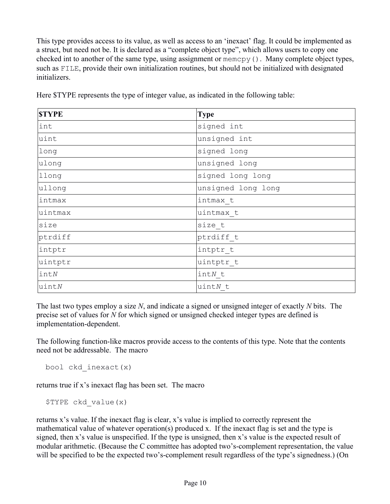This type provides access to its value, as well as access to an 'inexact' flag. It could be implemented as a struct, but need not be. It is declared as a "complete object type", which allows users to copy one checked int to another of the same type, using assignment or memcpy(). Many complete object types, such as FILE, provide their own initialization routines, but should not be initialized with designated initializers.

| <b>STYPE</b> | <b>Type</b>        |
|--------------|--------------------|
| int          | signed int         |
| uint         | unsigned int       |
| long         | signed long        |
| ulong        | unsigned long      |
| llong        | signed long long   |
| ullong       | unsigned long long |
| intmax       | intmax t           |
| uintmax      | uintmax t          |
| size         | size t             |
| ptrdiff      | ptrdiff t          |
| intptr       | intptr t           |
| uintptr      | uintptr t          |
| in tN        | $intN$ t           |
| $u$ int $N$  | $uintN$ t          |

Here \$TYPE represents the type of integer value, as indicated in the following table:

The last two types employ a size *N*, and indicate a signed or unsigned integer of exactly *N* bits. The precise set of values for *N* for which signed or unsigned checked integer types are defined is implementation-dependent.

The following function-like macros provide access to the contents of this type. Note that the contents need not be addressable. The macro

```
 bool ckd_inexact(x)
```
returns true if x's inexact flag has been set. The macro

\$TYPE ckd\_value(x)

returns x's value. If the inexact flag is clear, x's value is implied to correctly represent the mathematical value of whatever operation(s) produced x. If the inexact flag is set and the type is signed, then x's value is unspecified. If the type is unsigned, then x's value is the expected result of modular arithmetic. (Because the C committee has adopted two's-complement representation, the value will be specified to be the expected two's-complement result regardless of the type's signedness.) (On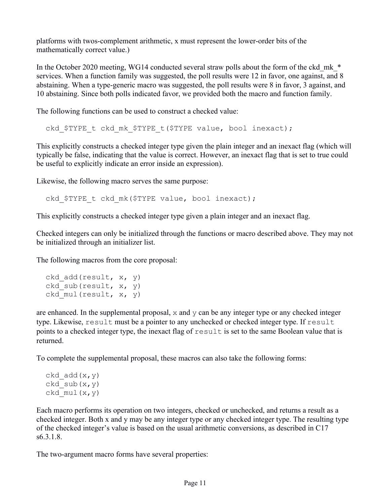platforms with twos-complement arithmetic, x must represent the lower-order bits of the mathematically correct value.)

In the October 2020 meeting, WG14 conducted several straw polls about the form of the ckd mk  $*$ services. When a function family was suggested, the poll results were 12 in favor, one against, and 8 abstaining. When a type-generic macro was suggested, the poll results were 8 in favor, 3 against, and 10 abstaining. Since both polls indicated favor, we provided both the macro and function family.

The following functions can be used to construct a checked value:

ckd \$TYPE t ckd mk \$TYPE t(\$TYPE value, bool inexact);

This explicitly constructs a checked integer type given the plain integer and an inexact flag (which will typically be false, indicating that the value is correct. However, an inexact flag that is set to true could be useful to explicitly indicate an error inside an expression).

Likewise, the following macro serves the same purpose:

ckd \$TYPE t ckd mk(\$TYPE value, bool inexact);

This explicitly constructs a checked integer type given a plain integer and an inexact flag.

Checked integers can only be initialized through the functions or macro described above. They may not be initialized through an initializer list.

The following macros from the core proposal:

```
 ckd_add(result, x, y)
ckd sub(result, x, y)
ckd mul(result, x, y)
```
are enhanced. In the supplemental proposal,  $x$  and  $y$  can be any integer type or any checked integer type. Likewise, result must be a pointer to any unchecked or checked integer type. If result points to a checked integer type, the inexact flag of result is set to the same Boolean value that is returned.

To complete the supplemental proposal, these macros can also take the following forms:

```
ckd add(x,y)ckd sub(x,y)ckd mul(x,y)
```
Each macro performs its operation on two integers, checked or unchecked, and returns a result as a checked integer. Both x and y may be any integer type or any checked integer type. The resulting type of the checked integer's value is based on the usual arithmetic conversions, as described in C17 s6.3.1.8.

The two-argument macro forms have several properties: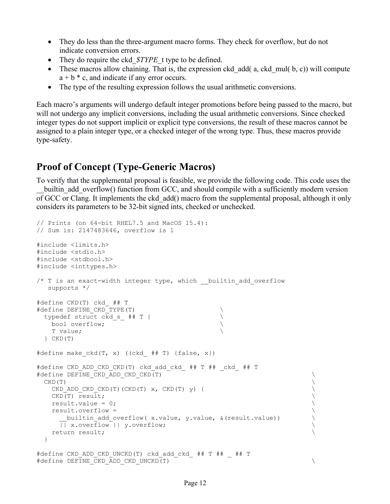- They do less than the three-argument macro forms. They check for overflow, but do not indicate conversion errors.
- They do require the ckd  $STYPE$  t type to be defined.
- These macros allow chaining. That is, the expression ckd  $add(a, ckd_{mul}( b, c))$  will compute  $a + b * c$ , and indicate if any error occurs.
- The type of the resulting expression follows the usual arithmetic conversions.

Each macro's arguments will undergo default integer promotions before being passed to the macro, but will not undergo any implicit conversions, including the usual arithmetic conversions. Since checked integer types do not support implicit or explicit type conversions, the result of these macros cannot be assigned to a plain integer type, or a checked integer of the wrong type. Thus, these macros provide type-safety.

### **Proof of Concept (Type-Generic Macros)**

To verify that the supplemental proposal is feasible, we provide the following code. This code uses the builtin add overflow() function from GCC, and should compile with a sufficiently modern version of GCC or Clang. It implements the ckd\_add() macro from the supplemental proposal, although it only considers its parameters to be 32-bit signed ints, checked or unchecked.

```
// Prints (on 64-bit RHEL7.5 and MacOS 15.4):
// Sum is: 2147483646, overflow is 1
#include <limits.h>
#include <stdio.h>
#include <stdbool.h>
#include <inttypes.h>
/* T is an exact-width integer type, which __ builtin add overflow
   supports */
#define CKD(T) ckd_ ## T
#define DEFINE_CKD_TYPE(T)<br>typedef struct ckd s ## T {
 typedef struct c\overline{k}d_s = # # T { \qquad \qquad \qquad \wedge bool overflow;
  bool overflow;
    T value; \
  } CKD(T)
#define make ckd(T, x) ((ckd ## T) {false, x})
#define CKD_ADD_CKD_CKD(T) ckd_add_ckd_ ## T ## _ckd_ ## T
#define DEFINE CKD ADD CKD CKD(T) \setminus\mathsf{CKD}\left( \mathbf{T}\right)CKD_ADD_CKD_CKD(T)(CKD(T) x, CKD(T) y) { \veeCKD(T) result;<br>
result.value = 0;<br>
\
   result.value = 0;<br>result.overflow =
   result.overflow = \setminus<br>builtin add overflow(x.value, y.value, & (result.value)) \setminusbuiltin add overflow( x.value, y.value, &(result.value))
      || x.overflow || y.overflow; \
   return result; \setminus }
#define CKD_ADD_CKD_UNCKD(T) ckd_add_ckd_ ## T ## _ ## T
#define DEFINE CKD ADD CKD UNCKD(T) \setminus
```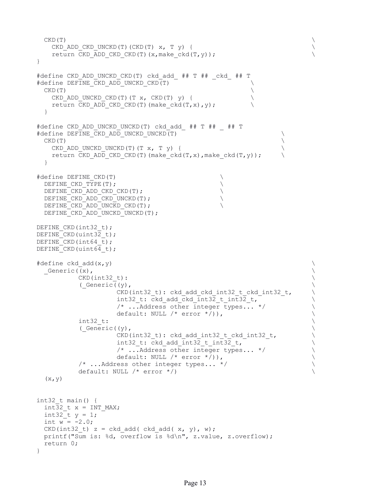```
\mathsf{CKD}\left( \mathbf{T}\right)CKD ADD CKD UNCKD(T)(CKD(T) x, T y) { \qquad \qquad \qquadreturn CKD_ADD_CKD_CKD(T)(x,make_ckd(T,y)); \setminus}
#define CKD_ADD_UNCKD_CKD(T) ckd_add_ ## T ## _ckd_ ## T
#define DEFINE CKD ADD UNCKD CKD(T)
CKD(T)CKD ADD UNCKD CKD(T)(T x, CKD(T) y) { \qquad \qquad \backslashreturn CKD ADD CKD CKD(T)(make ckd(T,x), y);
   }
#define CKD_ADD_UNCKD_UNCKD(T) ckd_add_ ## T ## _ ## T
#define DEFINE_CKD_ADD_UNCKD_UNCKD(T) \
\mathsf{CKD}\left( \mathbf{T}\right)CKD ADD UNCKD UNCKD(T)(T x, T y) {
   return CKD ADD CKD CKD(T)(make ckd(T,x),make ckd(T,y));
   }
#define DEFINE_CKD(T)<br>DEFINE CKD TYPE(T);
  DEFINE_CKD_TYPE(T);<br>DEFINE_CKD_ADD_CKD_CKD(T);
  DEFINE_CKD_ADD_CKD_CKD(T);
 DEFINE CKD ADD CKD UNCKD(T);
  DEFINE CKD ADD UNCKD CKD(T);
  DEFINE CKD ADD UNCKD UNCKD(T);
DEFINE CKD(int32 t);
DEFINE CKD (uint32 t);
DEFINE CKD(int64 t);
DEFINE CKD(uint64 t);
\#\text{define ckd} add(x,y) \setminusGeneric((x),
           CKD(int32 t):( Generic (y),
                     CKD(int32 t): ckd add ckd int32 t ckd int32 t,
                     int32 t: ckd add ckd int32 t int32 t,
                     /* ...Address other integer types... */<br>default: NULL /* error */)),
                     default: NULL /* error */) ),
           int32_t: \setminus \setminus \setminus \setminus \setminus \setminus \setminus \setminus \setminus \setminus \setminus \setminus \setminus \setminus \setminus \setminus(\underline{\text{Generic}((y)}, \underline{\text{CKD}(\text{int32 t)}: \text{ckd add int32 t ckd int32 t},CKD(int32_t): ckd_add_int32_t_ckd_int32_t,<br>int32 t: ckd add int32 t int32 t,
                     int32_t: ckd_add_int32_t_int32_t,<br>
/* ...Address other integer types... */
                     /* ...Address other integer types... */<br>default: NULL /* error */)),
                     default: NULL /* error */)),<br>ress other integer types... */
           \frac{1}{2} ... Address other integer types... */
           default: NULL /* error */)(x, y)int32_t main() {
 int32 t x = INT MAX;int32 t y = 1;
 int w = -2.0;
 CKD(int32 t) z = ckd add( ckd add( x, y, w);
   printf("Sum is: %d, overflow is %d\n", z.value, z.overflow);
   return 0;
}
```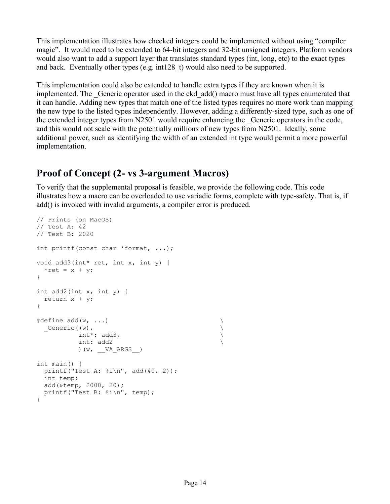This implementation illustrates how checked integers could be implemented without using "compiler magic". It would need to be extended to 64-bit integers and 32-bit unsigned integers. Platform vendors would also want to add a support layer that translates standard types (int, long, etc) to the exact types and back. Eventually other types (e.g. int128\_t) would also need to be supported.

This implementation could also be extended to handle extra types if they are known when it is implemented. The Generic operator used in the ckd add() macro must have all types enumerated that it can handle. Adding new types that match one of the listed types requires no more work than mapping the new type to the listed types independently. However, adding a differently-sized type, such as one of the extended integer types from N2501 would require enhancing the \_Generic operators in the code, and this would not scale with the potentially millions of new types from N2501. Ideally, some additional power, such as identifying the width of an extended int type would permit a more powerful implementation.

## **Proof of Concept (2- vs 3-argument Macros)**

To verify that the supplemental proposal is feasible, we provide the following code. This code illustrates how a macro can be overloaded to use variadic forms, complete with type-safety. That is, if add() is invoked with invalid arguments, a compiler error is produced.

```
// Prints (on MacOS)
// Test A: 42
// Test B: 2020
int printf(const char *format, ...);
void add3(int* ret, int x, int y) {
 *ret = x + y;
}
int add2(int x, int y) {
  return x + y;
}
\# \text{define } \text{add}(w, \ldots)\begin{matrix} \text{Lef}(\mathsf{w}) & \mathsf{w} \\ \text{int}^* & \text{add} \end{matrix} int*: add3, \
            int: add2 \
            ) (w, VA ARGS )
int main() {
 printf("Test A: \frac{\sinh}{10}, add(40, 2));
  int temp;
  add(&temp, 2000, 20);
   printf("Test B: %i\n", temp);
}
```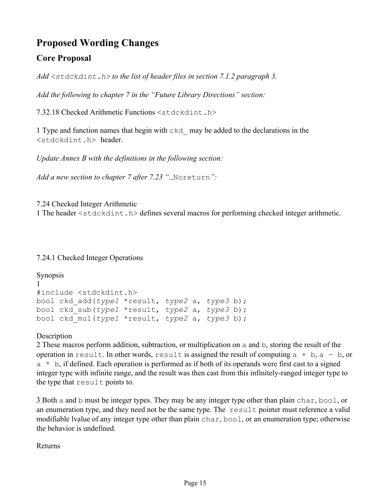## **Proposed Wording Changes**

### **Core Proposal**

*Add <stdckdint.h> to the list of header files in section 7.1.2 paragraph 3.*

*Add the following to chapter 7 in the "Future Library Directions" section:*

7.32.18 Checked Arithmetic Functions <stdckdint.h>

1 Type and function names that begin with ckd\_ may be added to the declarations in the <stdckdint.h> header.

*Update Annex B with the definitions in the following section:* 

*Add a new section to chapter 7 after 7.23 "*\_Noreturn*":*

7.24 Checked Integer Arithmetic 1 The header <stdckdint.h> defines several macros for performing checked integer arithmetic.

7.24.1 Checked Integer Operations

```
Synopsis
1 
#include <stdckdint.h>
bool ckd_add(type1 *result, type2 a, type3 b);
bool ckd_sub(type1 *result, type2 a, type3 b);
bool ckd_mul(type1 *result, type2 a, type3 b);
```
**Description** 

2 These macros perform addition, subtraction, or multiplication on a and b, storing the result of the operation in result. In other words, result is assigned the result of computing  $a + b$ ,  $a - b$ , or  $a * b$ , if defined. Each operation is performed as if both of its operands were first cast to a signed integer type with infinite range, and the result was then cast from this infinitely-ranged integer type to the type that result points to.

3 Both a and b must be integer types. They may be any integer type other than plain char, bool, or an enumeration type, and they need not be the same type. The result pointer must reference a valid modifiable lvalue of any integer type other than plain char, bool, or an enumeration type; otherwise the behavior is undefined.

Returns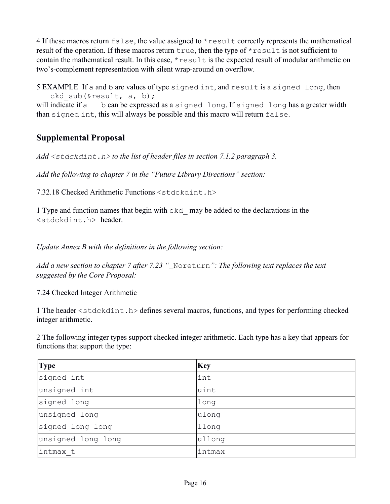4 If these macros return false, the value assigned to  $*$  result correctly represents the mathematical result of the operation. If these macros return true, then the type of  $*$  result is not sufficient to contain the mathematical result. In this case, \*result is the expected result of modular arithmetic on two's-complement representation with silent wrap-around on overflow.

5 EXAMPLE If a and b are values of type signed int, and result is a signed long, then ckd sub(&result, a, b);

will indicate if a - b can be expressed as a signed long. If signed long has a greater width than signed int, this will always be possible and this macro will return false.

### **Supplemental Proposal**

*Add <stdckdint.h> to the list of header files in section 7.1.2 paragraph 3.*

*Add the following to chapter 7 in the "Future Library Directions" section:*

7.32.18 Checked Arithmetic Functions <stdckdint.h>

1 Type and function names that begin with ckd\_ may be added to the declarations in the <stdckdint.h> header.

*Update Annex B with the definitions in the following section:*

*Add a new section to chapter 7 after 7.23 "*\_Noreturn*": The following text replaces the text suggested by the Core Proposal:*

7.24 Checked Integer Arithmetic

1 The header <stdckdint.h> defines several macros, functions, and types for performing checked integer arithmetic.

2 The following integer types support checked integer arithmetic. Each type has a key that appears for functions that support the type:

| <b>Type</b>        | <b>Key</b> |
|--------------------|------------|
| signed int         | int        |
| unsigned int       | uint       |
| signed long        | long       |
| unsigned long      | ulong      |
| signed long long   | llong      |
| unsigned long long | ullong     |
| intmax t           | intmax     |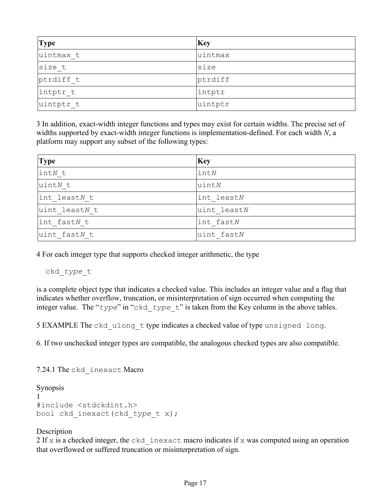| <b>Type</b> | <b>Key</b> |
|-------------|------------|
| uintmax t   | uintmax    |
| size t      | size       |
| ptrdiff t   | ptrdiff    |
| intptr t    | intptr     |
| uintptr t   | uintptr    |

3 In addition, exact-width integer functions and types may exist for certain widths. The precise set of widths supported by exact-width integer functions is implementation-defined. For each width *N*, a platform may support any subset of the following types:

| <b>Type</b>           | <b>Key</b>    |
|-----------------------|---------------|
| $\vert \text{int}N$ t | $\text{int}N$ |
| uintN t               | $u$ int $N$   |
| int leastN t          | int leastN    |
| uint leastN t         | uint leastN   |
| int fastN t           | int fastN     |
| uint fastN t          | uint fastN    |

4 For each integer type that supports checked integer arithmetic, the type

ckd\_*type*\_t

is a complete object type that indicates a checked value. This includes an integer value and a flag that indicates whether overflow, truncation, or misinterpretation of sign occurred when computing the integer value. The "*type*" in "ckd\_*type*\_t" is taken from the Key column in the above tables.

5 EXAMPLE The ckd ulong t type indicates a checked value of type unsigned long.

6. If two unchecked integer types are compatible, the analogous checked types are also compatible.

7.24.1 The ckd\_inexact Macro

#### Synopsis

```
1 
#include <stdckdint.h>
bool ckd_inexact(ckd_type_t x);
```
#### **Description**

2 If x is a checked integer, the ckd inexact macro indicates if x was computed using an operation that overflowed or suffered truncation or misinterpretation of sign.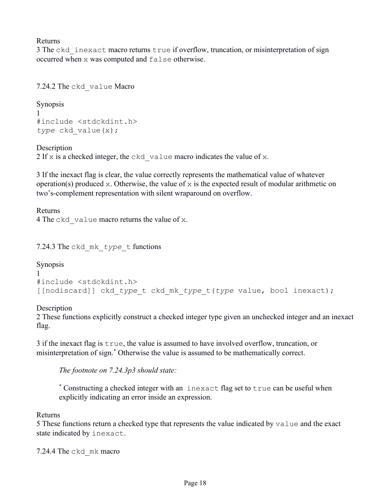Returns

3 The ckd inexact macro returns true if overflow, truncation, or misinterpretation of sign occurred when x was computed and false otherwise.

7.24.2 The ckd\_value Macro

Synopsis 1 #include <stdckdint.h> *type* ckd\_value(x);

**Description** 

2 If x is a checked integer, the ckd value macro indicates the value of x.

3 If the inexact flag is clear, the value correctly represents the mathematical value of whatever operation(s) produced x. Otherwise, the value of x is the expected result of modular arithmetic on two's-complement representation with silent wraparound on overflow.

Returns 4 The ckd value macro returns the value of x.

7.24.3 The ckd\_mk\_*type*\_t functions

Synopsis 1 #include <stdckdint.h> [[nodiscard]] ckd\_*type*\_t ckd\_mk\_*type*\_t(*type* value, bool inexact);

**Description** 

2 These functions explicitly construct a checked integer type given an unchecked integer and an inexact flag.

3 if the inexact flag is true, the value is assumed to have involved overflow, truncation, or misinterpretation of sign. \* Otherwise the value is assumed to be mathematically correct.

*The footnote on 7.24.3p3 should state:*

\* Constructing a checked integer with an inexact flag set to true can be useful when explicitly indicating an error inside an expression.

Returns

5 These functions return a checked type that represents the value indicated by value and the exact state indicated by inexact.

7.24.4 The ckd\_mk macro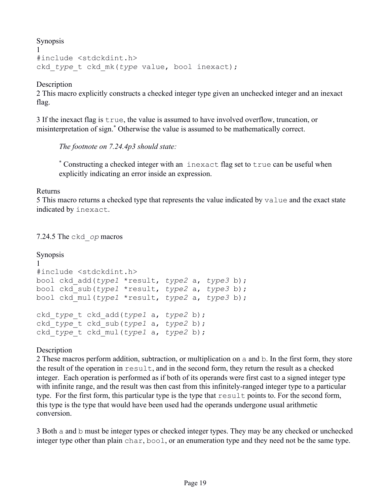Synopsis

```
1 
#include <stdckdint.h>
ckd_type_t ckd_mk(type value, bool inexact);
```
**Description** 

2 This macro explicitly constructs a checked integer type given an unchecked integer and an inexact flag.

3 If the inexact flag is true, the value is assumed to have involved overflow, truncation, or misinterpretation of sign.\* Otherwise the value is assumed to be mathematically correct.

*The footnote on 7.24.4p3 should state:*

\* Constructing a checked integer with an inexact flag set to true can be useful when explicitly indicating an error inside an expression.

#### Returns

5 This macro returns a checked type that represents the value indicated by value and the exact state indicated by inexact.

7.24.5 The ckd\_*op* macros

```
Synopsis
1
#include <stdckdint.h>
bool ckd_add(type1 *result, type2 a, type3 b);
bool ckd_sub(type1 *result, type2 a, type3 b);
bool ckd_mul(type1 *result, type2 a, type3 b);
ckd_type_t ckd_add(type1 a, type2 b);
ckd_type_t ckd_sub(type1 a, type2 b);
ckd_type_t ckd_mul(type1 a, type2 b);
```
Description

2 These macros perform addition, subtraction, or multiplication on a and b. In the first form, they store the result of the operation in  $result$ , and in the second form, they return the result as a checked integer. Each operation is performed as if both of its operands were first cast to a signed integer type with infinite range, and the result was then cast from this infinitely-ranged integer type to a particular type. For the first form, this particular type is the type that result points to. For the second form, this type is the type that would have been used had the operands undergone usual arithmetic conversion.

3 Both a and b must be integer types or checked integer types. They may be any checked or unchecked integer type other than plain char, bool, or an enumeration type and they need not be the same type.